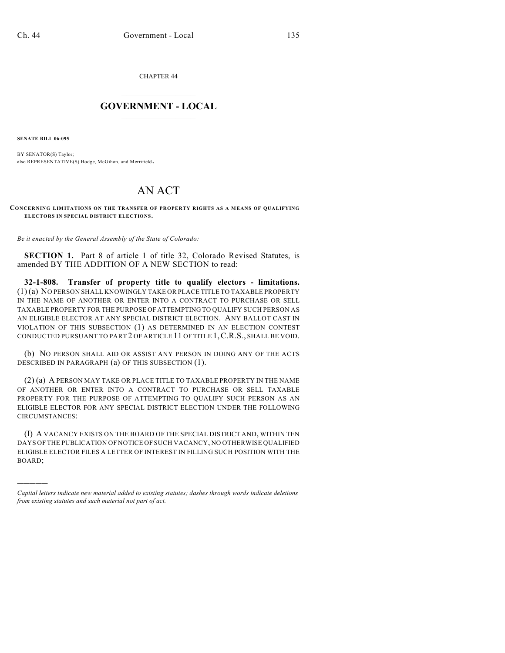CHAPTER 44

## $\mathcal{L}_\text{max}$  . The set of the set of the set of the set of the set of the set of the set of the set of the set of the set of the set of the set of the set of the set of the set of the set of the set of the set of the set **GOVERNMENT - LOCAL**  $\_$

**SENATE BILL 06-095**

)))))

BY SENATOR(S) Taylor; also REPRESENTATIVE(S) Hodge, McGihon, and Merrifield.

## AN ACT

**CONCERNING LIMITATIONS ON THE TRANSFER OF PROPERTY RIGHTS AS A MEANS OF QUALIFYING ELECTORS IN SPECIAL DISTRICT ELECTIONS.**

*Be it enacted by the General Assembly of the State of Colorado:*

**SECTION 1.** Part 8 of article 1 of title 32, Colorado Revised Statutes, is amended BY THE ADDITION OF A NEW SECTION to read:

**32-1-808. Transfer of property title to qualify electors - limitations.** (1) (a) NO PERSON SHALL KNOWINGLY TAKE OR PLACE TITLE TO TAXABLE PROPERTY IN THE NAME OF ANOTHER OR ENTER INTO A CONTRACT TO PURCHASE OR SELL TAXABLE PROPERTY FOR THE PURPOSE OF ATTEMPTING TO QUALIFY SUCH PERSON AS AN ELIGIBLE ELECTOR AT ANY SPECIAL DISTRICT ELECTION. ANY BALLOT CAST IN VIOLATION OF THIS SUBSECTION (1) AS DETERMINED IN AN ELECTION CONTEST CONDUCTED PURSUANT TO PART 2 OF ARTICLE 11 OF TITLE 1,C.R.S., SHALL BE VOID.

(b) NO PERSON SHALL AID OR ASSIST ANY PERSON IN DOING ANY OF THE ACTS DESCRIBED IN PARAGRAPH (a) OF THIS SUBSECTION (1).

(2) (a) A PERSON MAY TAKE OR PLACE TITLE TO TAXABLE PROPERTY IN THE NAME OF ANOTHER OR ENTER INTO A CONTRACT TO PURCHASE OR SELL TAXABLE PROPERTY FOR THE PURPOSE OF ATTEMPTING TO QUALIFY SUCH PERSON AS AN ELIGIBLE ELECTOR FOR ANY SPECIAL DISTRICT ELECTION UNDER THE FOLLOWING CIRCUMSTANCES:

(I) A VACANCY EXISTS ON THE BOARD OF THE SPECIAL DISTRICT AND, WITHIN TEN DAYS OF THE PUBLICATION OF NOTICE OF SUCH VACANCY, NO OTHERWISE QUALIFIED ELIGIBLE ELECTOR FILES A LETTER OF INTEREST IN FILLING SUCH POSITION WITH THE BOARD;

*Capital letters indicate new material added to existing statutes; dashes through words indicate deletions from existing statutes and such material not part of act.*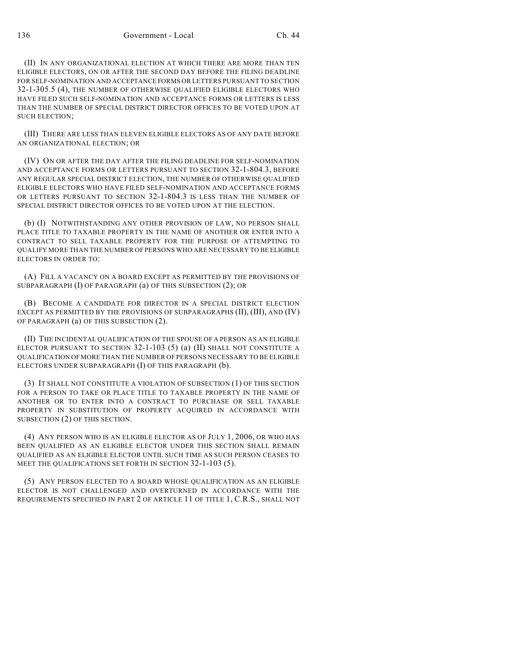(II) IN ANY ORGANIZATIONAL ELECTION AT WHICH THERE ARE MORE THAN TEN ELIGIBLE ELECTORS, ON OR AFTER THE SECOND DAY BEFORE THE FILING DEADLINE FOR SELF-NOMINATION AND ACCEPTANCE FORMS OR LETTERS PURSUANT TO SECTION 32-1-305.5 (4), THE NUMBER OF OTHERWISE QUALIFIED ELIGIBLE ELECTORS WHO HAVE FILED SUCH SELF-NOMINATION AND ACCEPTANCE FORMS OR LETTERS IS LESS THAN THE NUMBER OF SPECIAL DISTRICT DIRECTOR OFFICES TO BE VOTED UPON AT SUCH ELECTION;

(III) THERE ARE LESS THAN ELEVEN ELIGIBLE ELECTORS AS OF ANY DATE BEFORE AN ORGANIZATIONAL ELECTION; OR

(IV) ON OR AFTER THE DAY AFTER THE FILING DEADLINE FOR SELF-NOMINATION AND ACCEPTANCE FORMS OR LETTERS PURSUANT TO SECTION 32-1-804.3, BEFORE ANY REGULAR SPECIAL DISTRICT ELECTION, THE NUMBER OF OTHERWISE QUALIFIED ELIGIBLE ELECTORS WHO HAVE FILED SELF-NOMINATION AND ACCEPTANCE FORMS OR LETTERS PURSUANT TO SECTION 32-1-804.3 IS LESS THAN THE NUMBER OF SPECIAL DISTRICT DIRECTOR OFFICES TO BE VOTED UPON AT THE ELECTION.

(b) (I) NOTWITHSTANDING ANY OTHER PROVISION OF LAW, NO PERSON SHALL PLACE TITLE TO TAXABLE PROPERTY IN THE NAME OF ANOTHER OR ENTER INTO A CONTRACT TO SELL TAXABLE PROPERTY FOR THE PURPOSE OF ATTEMPTING TO QUALIFY MORE THAN THE NUMBER OF PERSONS WHO ARE NECESSARY TO BE ELIGIBLE ELECTORS IN ORDER TO:

(A) FILL A VACANCY ON A BOARD EXCEPT AS PERMITTED BY THE PROVISIONS OF SUBPARAGRAPH (I) OF PARAGRAPH (a) OF THIS SUBSECTION (2); OR

(B) BECOME A CANDIDATE FOR DIRECTOR IN A SPECIAL DISTRICT ELECTION EXCEPT AS PERMITTED BY THE PROVISIONS OF SUBPARAGRAPHS (II), (III), AND (IV) OF PARAGRAPH (a) OF THIS SUBSECTION (2).

(II) THE INCIDENTAL QUALIFICATION OF THE SPOUSE OF A PERSON AS AN ELIGIBLE ELECTOR PURSUANT TO SECTION 32-1-103 (5) (a) (II) SHALL NOT CONSTITUTE A QUALIFICATION OF MORE THAN THE NUMBER OF PERSONS NECESSARY TO BE ELIGIBLE ELECTORS UNDER SUBPARAGRAPH (I) OF THIS PARAGRAPH (b).

(3) IT SHALL NOT CONSTITUTE A VIOLATION OF SUBSECTION (1) OF THIS SECTION FOR A PERSON TO TAKE OR PLACE TITLE TO TAXABLE PROPERTY IN THE NAME OF ANOTHER OR TO ENTER INTO A CONTRACT TO PURCHASE OR SELL TAXABLE PROPERTY IN SUBSTITUTION OF PROPERTY ACQUIRED IN ACCORDANCE WITH SUBSECTION (2) OF THIS SECTION.

(4) ANY PERSON WHO IS AN ELIGIBLE ELECTOR AS OF JULY 1, 2006, OR WHO HAS BEEN QUALIFIED AS AN ELIGIBLE ELECTOR UNDER THIS SECTION SHALL REMAIN QUALIFIED AS AN ELIGIBLE ELECTOR UNTIL SUCH TIME AS SUCH PERSON CEASES TO MEET THE QUALIFICATIONS SET FORTH IN SECTION 32-1-103 (5).

(5) ANY PERSON ELECTED TO A BOARD WHOSE QUALIFICATION AS AN ELIGIBLE ELECTOR IS NOT CHALLENGED AND OVERTURNED IN ACCORDANCE WITH THE REQUIREMENTS SPECIFIED IN PART 2 OF ARTICLE 11 OF TITLE 1, C.R.S., SHALL NOT